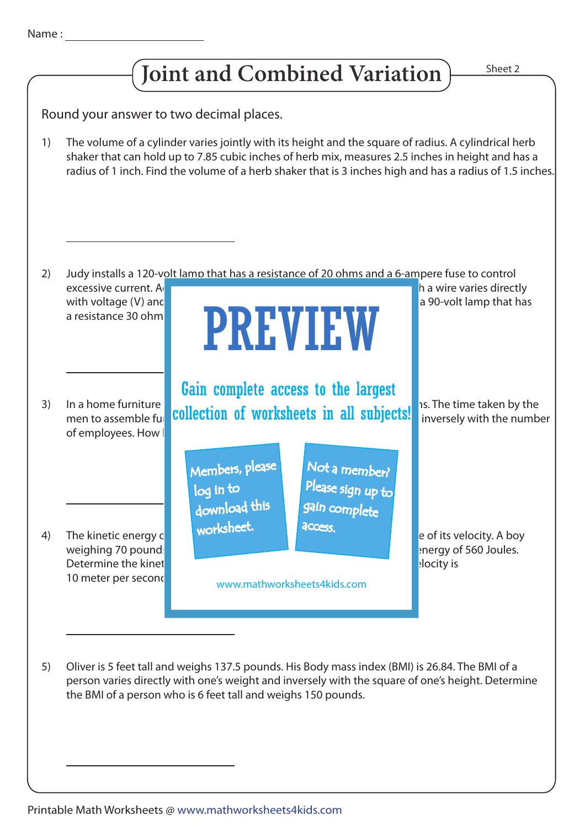1)

2)

3)

4)



In a home furniture  $\begin{bmatrix} 1 & 1 \end{bmatrix}$  of example 24 funtons. If  $\begin{bmatrix} 2 & 1 \end{bmatrix}$  and  $\begin{bmatrix} 1 & 2 \end{bmatrix}$  is. The time taken by the men to assemble full **collection of worksheets in all subjects!** Inversely with the number of employees. How Judy installs a 120-volt lamp that has a resistance of 20 ohms and a 6-ampere fuse to control excessive current. A<sub>c</sub>cording to Ohm in the current (I) passing the current (I) passing the current (I) passing the current (I) passing through a wire varies directly with voltage (V) and inverse inverse inverse  $\blacksquare$  a 90-volt lamp that has a resistance  $30$  ohm The kinetic energy  $\mathbf c$  with mass and square of its velocity. A boy weighing 70 pounds with a version of 4 meter per second has a kinetic energy of 560 Joules. Determine the kinetic energy of a pool of a pool of a pool of a pool of a pool of  $\sim$  15 pounds, if its velocity is The volume of a cylinder varies jointly with its height and the square of radius. A cylindrical herb shaker that can hold up to 7.85 cubic inches of herb mix, measures 2.5 inches in height and has a radius of 1 inch. Find the volume of a herb shaker that is 3 inches high and has a radius of 1.5 inches. Round your answer to two decimal places. PREVIEW Members, please download this worksheet. log in to Not a member? gain complete Please sign up to **access** Gain complete access to the largest

www.mathworksheets4kids.com

Oliver is 5 feet tall and weighs 137.5 pounds. His Body mass index (BMI) is 26.84. The BMI of a person varies directly with one's weight and inversely with the square of one's height. Determine the BMI of a person who is 6 feet tall and weighs 150 pounds. 5)

10 meter per second